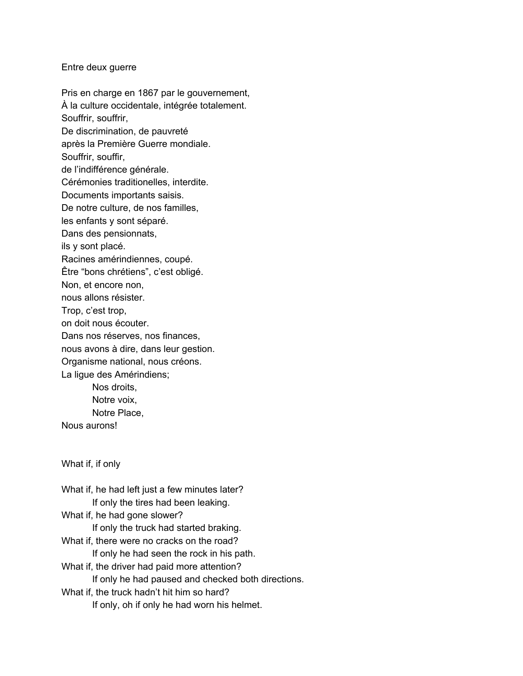Entre deux guerre

Pris en charge en 1867 par le gouvernement, À la culture occidentale, intégrée totalement. Souffrir, souffrir, De discrimination, de pauvreté après la Première Guerre mondiale. Souffrir, souffir, de l'indifférence générale. Cérémonies traditionelles, interdite. Documents importants saisis. De notre culture, de nos familles, les enfants y sont séparé. Dans des pensionnats, ils y sont placé. Racines amérindiennes, coupé. Être "bons chrétiens", c'est obligé. Non, et encore non, nous allons résister. Trop, c'est trop, on doit nous écouter. Dans nos réserves, nos finances, nous avons à dire, dans leur gestion. Organisme national, nous créons. La ligue des Amérindiens; Nos droits, Notre voix, Notre Place, Nous aurons! What if, if only What if, he had left just a few minutes later? If only the tires had been leaking. What if, he had gone slower? If only the truck had started braking.

What if, there were no cracks on the road? If only he had seen the rock in his path. What if, the driver had paid more attention?

If only he had paused and checked both directions.

What if, the truck hadn't hit him so hard? If only, oh if only he had worn his helmet.